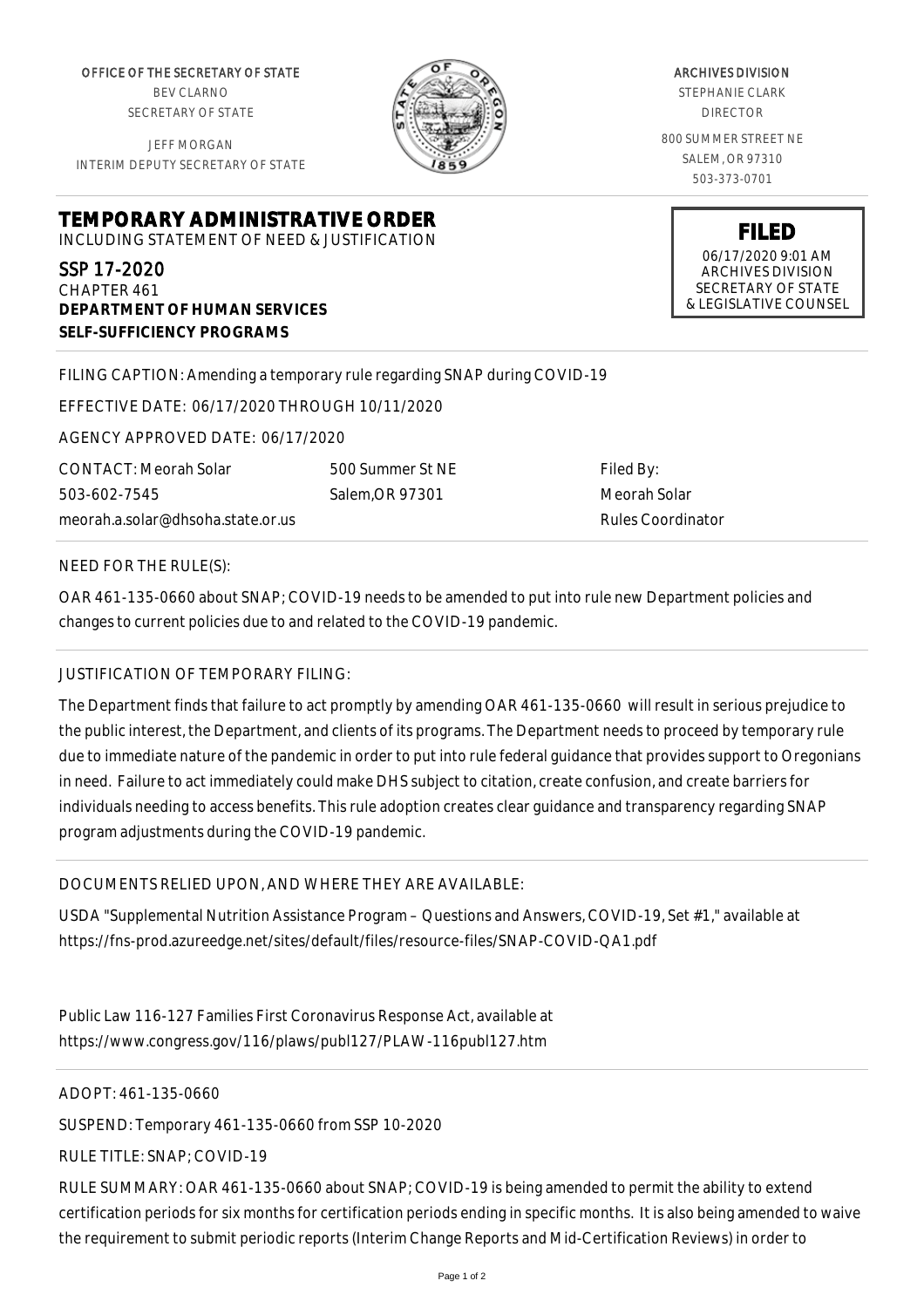OFFICE OF THE SECRETARY OF STATE BEV CLARNO SECRETARY OF STATE

JEFF MORGAN INTERIM DEPUTY SECRETARY OF STATE



ARCHIVES DIVISION STEPHANIE CLARK DIRECTOR 800 SUMMER STREET NE SALEM, OR 97310 503-373-0701

> **FILED** 06/17/2020 9:01 AM ARCHIVES DIVISION SECRETARY OF STATE & LEGISLATIVE COUNSEL

**TEMPORARY ADMINISTRATIVE ORDER**

INCLUDING STATEMENT OF NEED & JUSTIFICATION

SSP 17-2020 CHAPTER 461 **DEPARTMENT OF HUMAN SERVICES SELF-SUFFICIENCY PROGRAMS**

FILING CAPTION: Amending a temporary rule regarding SNAP during COVID-19

EFFECTIVE DATE: 06/17/2020 THROUGH 10/11/2020

AGENCY APPROVED DATE: 06/17/2020

meorah.a.solar@dhsoha.state.or.us 500 Summer St NE Salem,OR 97301

Filed By: Meorah Solar Rules Coordinator

NEED FOR THE RULE(S):

CONTACT: Meorah Solar

503-602-7545

OAR 461-135-0660 about SNAP; COVID-19 needs to be amended to put into rule new Department policies and changes to current policies due to and related to the COVID-19 pandemic.

## JUSTIFICATION OF TEMPORARY FILING:

The Department finds that failure to act promptly by amending OAR 461-135-0660 will result in serious prejudice to the public interest, the Department, and clients of its programs. The Department needs to proceed by temporary rule due to immediate nature of the pandemic in order to put into rule federal guidance that provides support to Oregonians in need. Failure to act immediately could make DHS subject to citation, create confusion, and create barriers for individuals needing to access benefits. This rule adoption creates clear guidance and transparency regarding SNAP program adjustments during the COVID-19 pandemic.

DOCUMENTS RELIED UPON, AND WHERE THEY ARE AVAILABLE:

USDA "Supplemental Nutrition Assistance Program – Questions and Answers, COVID-19, Set #1," available at https://fns-prod.azureedge.net/sites/default/files/resource-files/SNAP-COVID-QA1.pdf

Public Law 116-127 Families First Coronavirus Response Act, available at https://www.congress.gov/116/plaws/publ127/PLAW-116publ127.htm

ADOPT: 461-135-0660

SUSPEND: Temporary 461-135-0660 from SSP 10-2020

RULE TITLE: SNAP; COVID-19

RULE SUMMARY: OAR 461-135-0660 about SNAP; COVID-19 is being amended to permit the ability to extend certification periods for six months for certification periods ending in specific months. It is also being amended to waive the requirement to submit periodic reports (Interim Change Reports and Mid-Certification Reviews) in order to